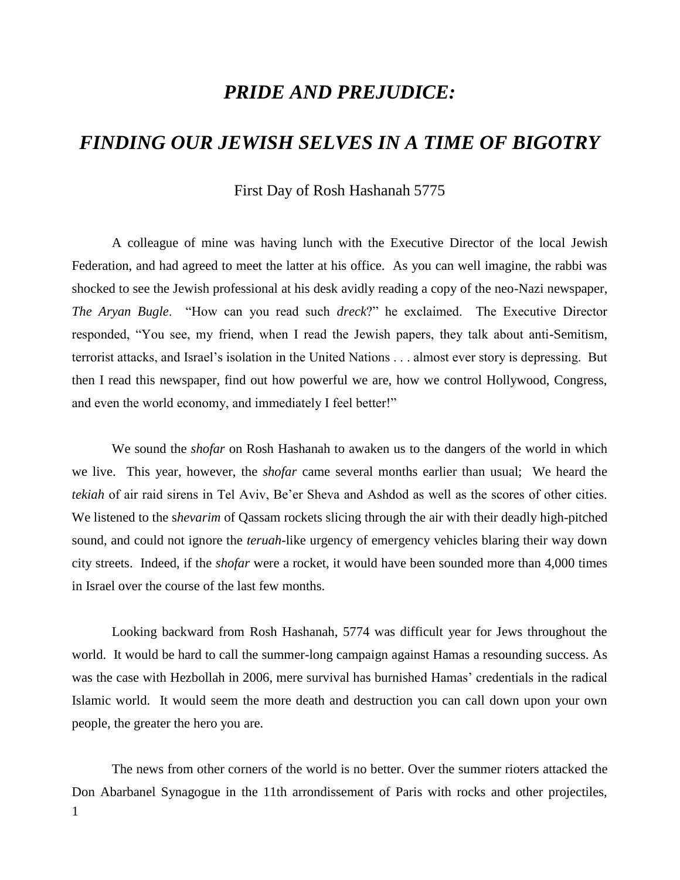## *PRIDE AND PREJUDICE:*

## *FINDING OUR JEWISH SELVES IN A TIME OF BIGOTRY*

## First Day of Rosh Hashanah 5775

A colleague of mine was having lunch with the Executive Director of the local Jewish Federation, and had agreed to meet the latter at his office. As you can well imagine, the rabbi was shocked to see the Jewish professional at his desk avidly reading a copy of the neo-Nazi newspaper, *The Aryan Bugle*. "How can you read such *dreck*?" he exclaimed. The Executive Director responded, "You see, my friend, when I read the Jewish papers, they talk about anti-Semitism, terrorist attacks, and Israel's isolation in the United Nations . . . almost ever story is depressing. But then I read this newspaper, find out how powerful we are, how we control Hollywood, Congress, and even the world economy, and immediately I feel better!"

We sound the *shofar* on Rosh Hashanah to awaken us to the dangers of the world in which we live. This year, however, the *shofar* came several months earlier than usual; We heard the *tekiah* of air raid sirens in Tel Aviv, Be'er Sheva and Ashdod as well as the scores of other cities. We listened to the s*hevarim* of Qassam rockets slicing through the air with their deadly high-pitched sound, and could not ignore the *teruah*-like urgency of emergency vehicles blaring their way down city streets. Indeed, if the *shofar* were a rocket, it would have been sounded more than 4,000 times in Israel over the course of the last few months.

Looking backward from Rosh Hashanah, 5774 was difficult year for Jews throughout the world. It would be hard to call the summer-long campaign against Hamas a resounding success. As was the case with Hezbollah in 2006, mere survival has burnished Hamas' credentials in the radical Islamic world. It would seem the more death and destruction you can call down upon your own people, the greater the hero you are.

1 The news from other corners of the world is no better. Over the summer rioters attacked the Don Abarbanel Synagogue in the 11th arrondissement of Paris with rocks and other projectiles,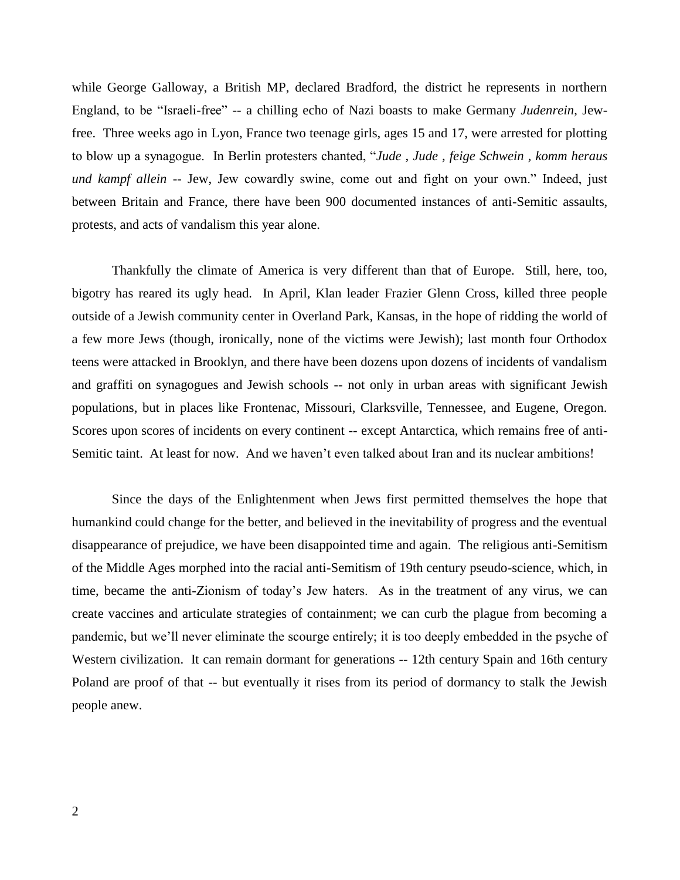while George Galloway, a British MP, declared Bradford, the district he represents in northern England, to be "Israeli-free" -- a chilling echo of Nazi boasts to make Germany *Judenrein*, Jewfree. Three weeks ago in Lyon, France two teenage girls, ages 15 and 17, were arrested for plotting to blow up a synagogue. In Berlin protesters chanted, "*Jude , Jude , feige Schwein , komm heraus und kampf allein* -- Jew, Jew cowardly swine, come out and fight on your own." Indeed, just between Britain and France, there have been 900 documented instances of anti-Semitic assaults, protests, and acts of vandalism this year alone.

Thankfully the climate of America is very different than that of Europe. Still, here, too, bigotry has reared its ugly head. In April, Klan leader Frazier Glenn Cross, killed three people outside of a Jewish community center in Overland Park, Kansas, in the hope of ridding the world of a few more Jews (though, ironically, none of the victims were Jewish); last month four Orthodox teens were attacked in Brooklyn, and there have been dozens upon dozens of incidents of vandalism and graffiti on synagogues and Jewish schools -- not only in urban areas with significant Jewish populations, but in places like Frontenac, Missouri, Clarksville, Tennessee, and Eugene, Oregon. Scores upon scores of incidents on every continent -- except Antarctica, which remains free of anti-Semitic taint. At least for now. And we haven't even talked about Iran and its nuclear ambitions!

Since the days of the Enlightenment when Jews first permitted themselves the hope that humankind could change for the better, and believed in the inevitability of progress and the eventual disappearance of prejudice, we have been disappointed time and again. The religious anti-Semitism of the Middle Ages morphed into the racial anti-Semitism of 19th century pseudo-science, which, in time, became the anti-Zionism of today's Jew haters. As in the treatment of any virus, we can create vaccines and articulate strategies of containment; we can curb the plague from becoming a pandemic, but we'll never eliminate the scourge entirely; it is too deeply embedded in the psyche of Western civilization. It can remain dormant for generations -- 12th century Spain and 16th century Poland are proof of that -- but eventually it rises from its period of dormancy to stalk the Jewish people anew.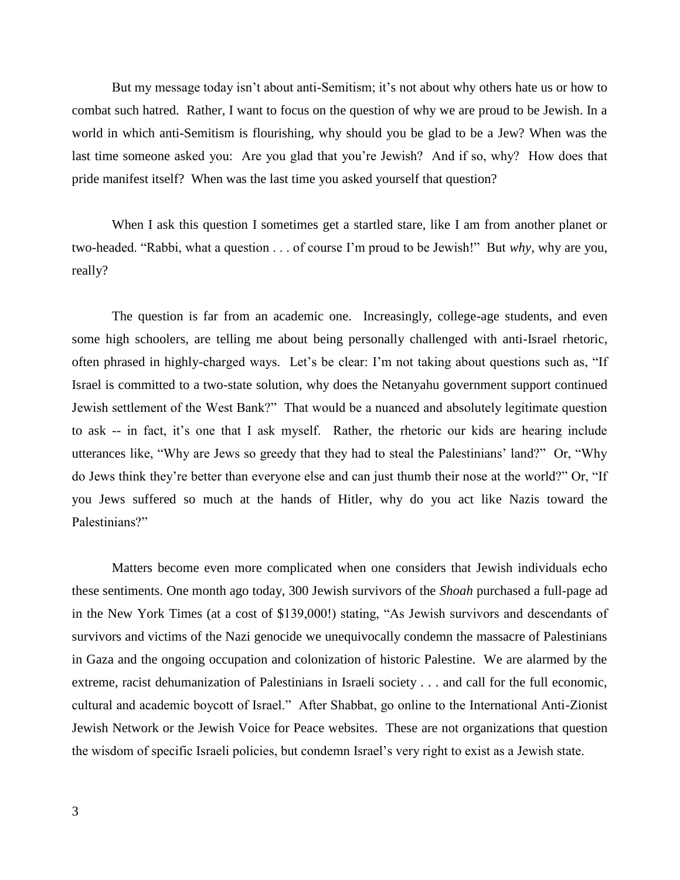But my message today isn't about anti-Semitism; it's not about why others hate us or how to combat such hatred. Rather, I want to focus on the question of why we are proud to be Jewish. In a world in which anti-Semitism is flourishing, why should you be glad to be a Jew? When was the last time someone asked you: Are you glad that you're Jewish? And if so, why? How does that pride manifest itself? When was the last time you asked yourself that question?

When I ask this question I sometimes get a startled stare, like I am from another planet or two-headed. "Rabbi, what a question . . . of course I'm proud to be Jewish!" But *why*, why are you, really?

The question is far from an academic one. Increasingly, college-age students, and even some high schoolers, are telling me about being personally challenged with anti-Israel rhetoric, often phrased in highly-charged ways. Let's be clear: I'm not taking about questions such as, "If Israel is committed to a two-state solution, why does the Netanyahu government support continued Jewish settlement of the West Bank?" That would be a nuanced and absolutely legitimate question to ask -- in fact, it's one that I ask myself. Rather, the rhetoric our kids are hearing include utterances like, "Why are Jews so greedy that they had to steal the Palestinians' land?" Or, "Why do Jews think they're better than everyone else and can just thumb their nose at the world?" Or, "If you Jews suffered so much at the hands of Hitler, why do you act like Nazis toward the Palestinians?"

Matters become even more complicated when one considers that Jewish individuals echo these sentiments. One month ago today, 300 Jewish survivors of the *Shoah* purchased a full-page ad in the New York Times (at a cost of \$139,000!) stating, "As Jewish survivors and descendants of survivors and victims of the Nazi genocide we unequivocally condemn the massacre of Palestinians in Gaza and the ongoing occupation and colonization of historic Palestine. We are alarmed by the extreme, racist dehumanization of Palestinians in Israeli society . . . and call for the full economic, cultural and academic boycott of Israel." After Shabbat, go online to the International Anti-Zionist Jewish Network or the Jewish Voice for Peace websites. These are not organizations that question the wisdom of specific Israeli policies, but condemn Israel's very right to exist as a Jewish state.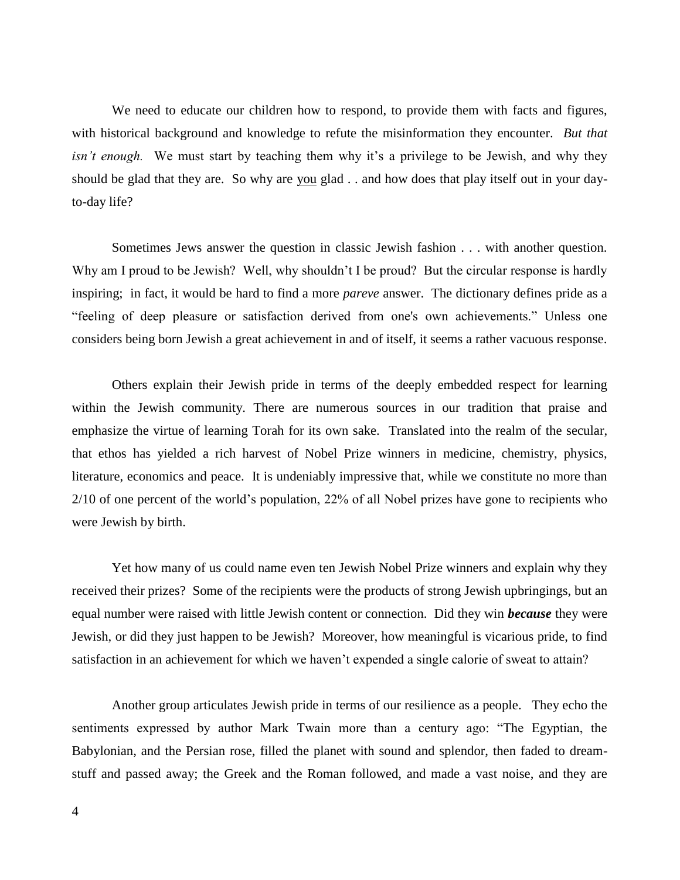We need to educate our children how to respond, to provide them with facts and figures, with historical background and knowledge to refute the misinformation they encounter. *But that isn't enough*. We must start by teaching them why it's a privilege to be Jewish, and why they should be glad that they are. So why are you glad . . and how does that play itself out in your dayto-day life?

Sometimes Jews answer the question in classic Jewish fashion . . . with another question. Why am I proud to be Jewish? Well, why shouldn't I be proud? But the circular response is hardly inspiring; in fact, it would be hard to find a more *pareve* answer. The dictionary defines pride as a "feeling of deep pleasure or satisfaction derived from one's own achievements." Unless one considers being born Jewish a great achievement in and of itself, it seems a rather vacuous response.

Others explain their Jewish pride in terms of the deeply embedded respect for learning within the Jewish community. There are numerous sources in our tradition that praise and emphasize the virtue of learning Torah for its own sake. Translated into the realm of the secular, that ethos has yielded a rich harvest of Nobel Prize winners in medicine, chemistry, physics, literature, economics and peace. It is undeniably impressive that, while we constitute no more than 2/10 of one percent of the world's population, 22% of all Nobel prizes have gone to recipients who were Jewish by birth.

Yet how many of us could name even ten Jewish Nobel Prize winners and explain why they received their prizes? Some of the recipients were the products of strong Jewish upbringings, but an equal number were raised with little Jewish content or connection. Did they win *because* they were Jewish, or did they just happen to be Jewish? Moreover, how meaningful is vicarious pride, to find satisfaction in an achievement for which we haven't expended a single calorie of sweat to attain?

Another group articulates Jewish pride in terms of our resilience as a people. They echo the sentiments expressed by author Mark Twain more than a century ago: "The Egyptian, the Babylonian, and the Persian rose, filled the planet with sound and splendor, then faded to dreamstuff and passed away; the Greek and the Roman followed, and made a vast noise, and they are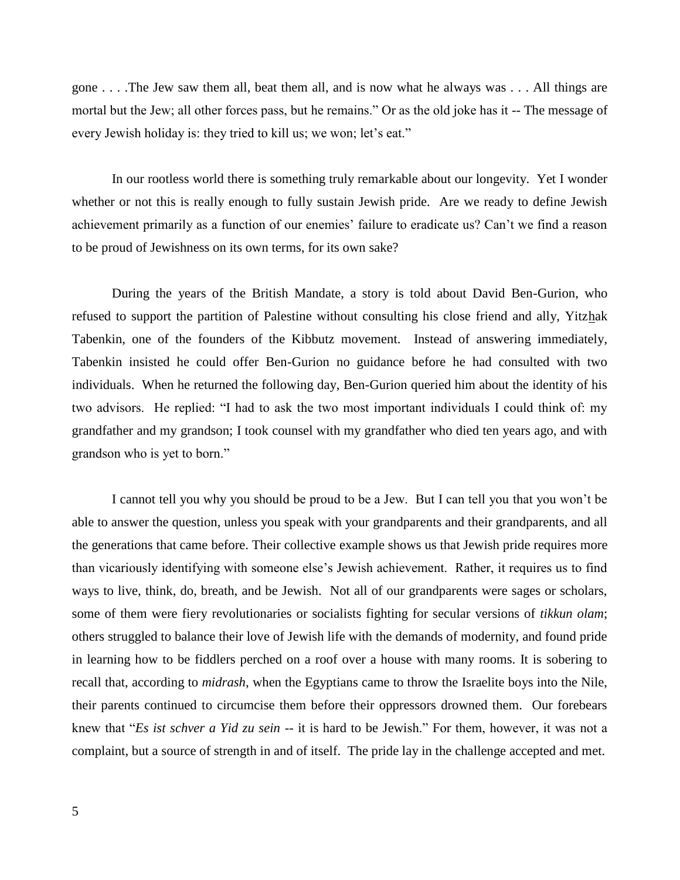gone . . . .The Jew saw them all, beat them all, and is now what he always was . . . All things are mortal but the Jew; all other forces pass, but he remains." Or as the old joke has it -- The message of every Jewish holiday is: they tried to kill us; we won; let's eat."

In our rootless world there is something truly remarkable about our longevity. Yet I wonder whether or not this is really enough to fully sustain Jewish pride. Are we ready to define Jewish achievement primarily as a function of our enemies' failure to eradicate us? Can't we find a reason to be proud of Jewishness on its own terms, for its own sake?

During the years of the British Mandate, a story is told about David Ben-Gurion, who refused to support the partition of Palestine without consulting his close friend and ally, Yitzhak Tabenkin, one of the founders of the Kibbutz movement. Instead of answering immediately, Tabenkin insisted he could offer Ben-Gurion no guidance before he had consulted with two individuals. When he returned the following day, Ben-Gurion queried him about the identity of his two advisors. He replied: "I had to ask the two most important individuals I could think of: my grandfather and my grandson; I took counsel with my grandfather who died ten years ago, and with grandson who is yet to born."

I cannot tell you why you should be proud to be a Jew. But I can tell you that you won't be able to answer the question, unless you speak with your grandparents and their grandparents, and all the generations that came before. Their collective example shows us that Jewish pride requires more than vicariously identifying with someone else's Jewish achievement. Rather, it requires us to find ways to live, think, do, breath, and be Jewish. Not all of our grandparents were sages or scholars, some of them were fiery revolutionaries or socialists fighting for secular versions of *tikkun olam*; others struggled to balance their love of Jewish life with the demands of modernity, and found pride in learning how to be fiddlers perched on a roof over a house with many rooms. It is sobering to recall that, according to *midrash,* when the Egyptians came to throw the Israelite boys into the Nile, their parents continued to circumcise them before their oppressors drowned them. Our forebears knew that "*Es ist schver a Yid zu sein* -- it is hard to be Jewish." For them, however, it was not a complaint, but a source of strength in and of itself. The pride lay in the challenge accepted and met.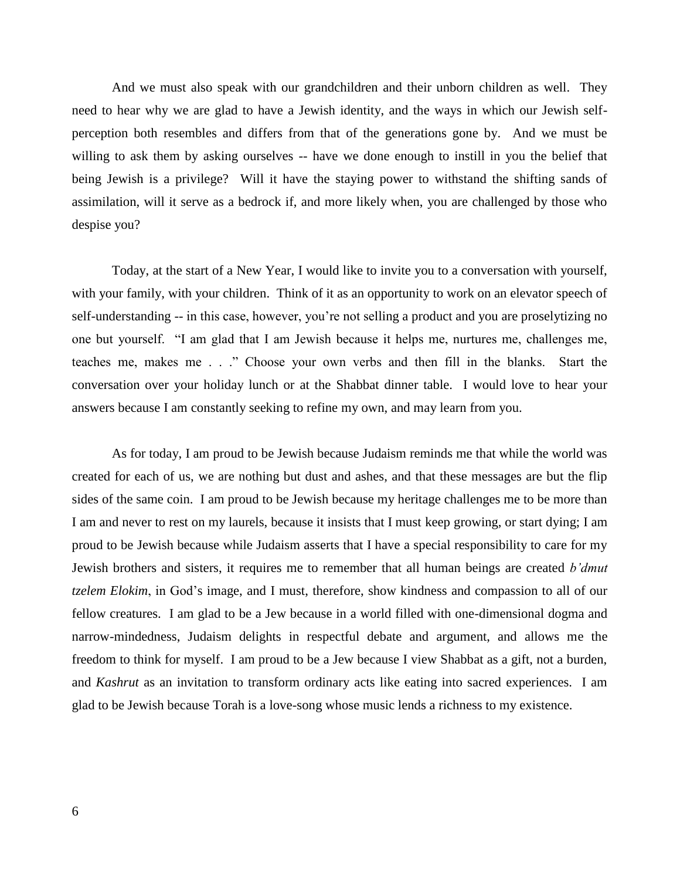And we must also speak with our grandchildren and their unborn children as well. They need to hear why we are glad to have a Jewish identity, and the ways in which our Jewish selfperception both resembles and differs from that of the generations gone by. And we must be willing to ask them by asking ourselves -- have we done enough to instill in you the belief that being Jewish is a privilege? Will it have the staying power to withstand the shifting sands of assimilation, will it serve as a bedrock if, and more likely when, you are challenged by those who despise you?

Today, at the start of a New Year, I would like to invite you to a conversation with yourself, with your family, with your children. Think of it as an opportunity to work on an elevator speech of self-understanding -- in this case, however, you're not selling a product and you are proselytizing no one but yourself. "I am glad that I am Jewish because it helps me, nurtures me, challenges me, teaches me, makes me . . ." Choose your own verbs and then fill in the blanks. Start the conversation over your holiday lunch or at the Shabbat dinner table. I would love to hear your answers because I am constantly seeking to refine my own, and may learn from you.

As for today, I am proud to be Jewish because Judaism reminds me that while the world was created for each of us, we are nothing but dust and ashes, and that these messages are but the flip sides of the same coin. I am proud to be Jewish because my heritage challenges me to be more than I am and never to rest on my laurels, because it insists that I must keep growing, or start dying; I am proud to be Jewish because while Judaism asserts that I have a special responsibility to care for my Jewish brothers and sisters, it requires me to remember that all human beings are created *b'dmut tzelem Elokim*, in God's image, and I must, therefore, show kindness and compassion to all of our fellow creatures. I am glad to be a Jew because in a world filled with one-dimensional dogma and narrow-mindedness, Judaism delights in respectful debate and argument, and allows me the freedom to think for myself. I am proud to be a Jew because I view Shabbat as a gift, not a burden, and *Kashrut* as an invitation to transform ordinary acts like eating into sacred experiences. I am glad to be Jewish because Torah is a love-song whose music lends a richness to my existence.